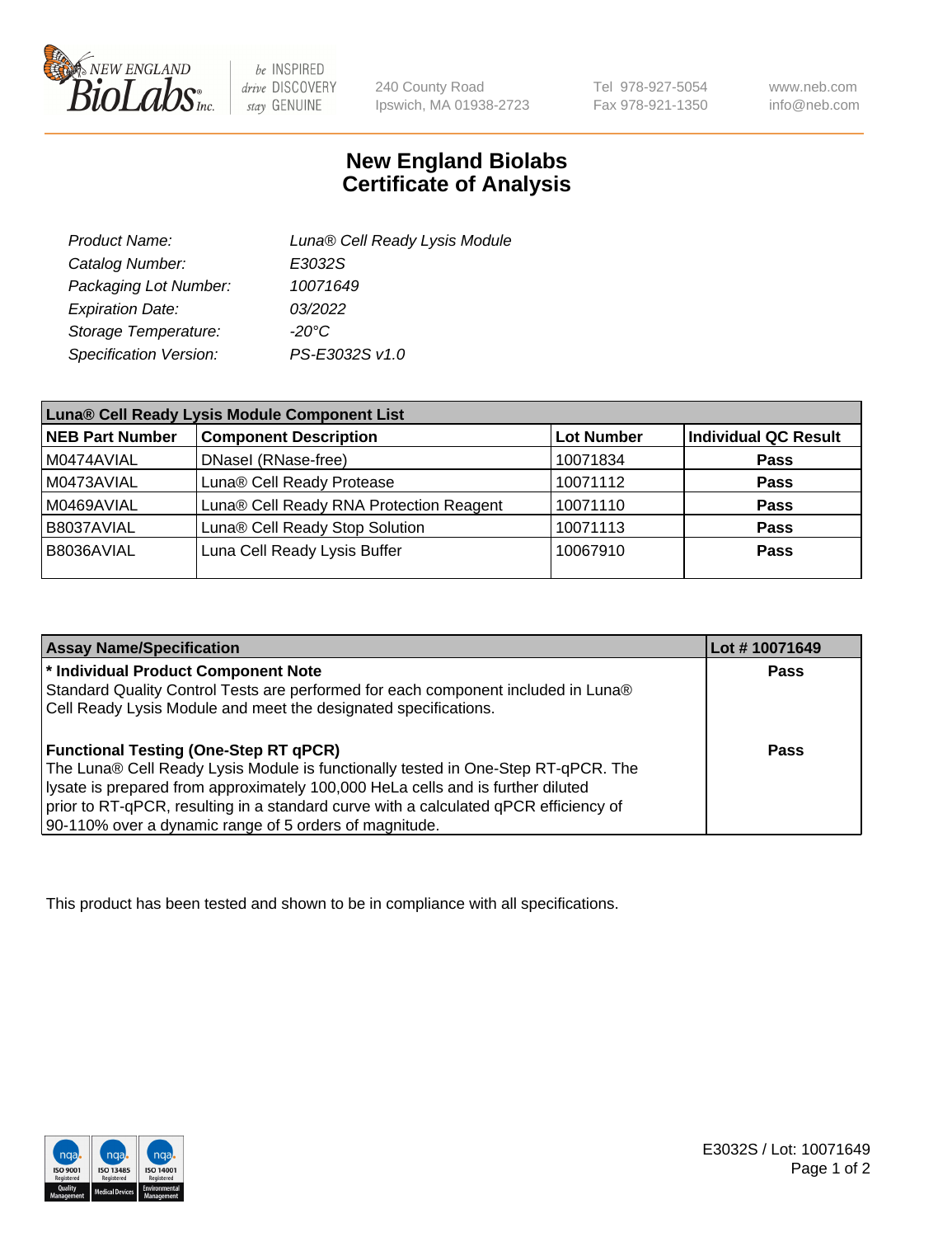

 $be$  INSPIRED drive DISCOVERY stay GENUINE

240 County Road Ipswich, MA 01938-2723 Tel 978-927-5054 Fax 978-921-1350

www.neb.com info@neb.com

## **New England Biolabs Certificate of Analysis**

| Product Name:           | Luna® Cell Ready Lysis Module |
|-------------------------|-------------------------------|
| Catalog Number:         | E3032S                        |
| Packaging Lot Number:   | 10071649                      |
| <b>Expiration Date:</b> | 03/2022                       |
| Storage Temperature:    | $-20^{\circ}$ C               |
| Specification Version:  | PS-E3032S v1.0                |

| Luna® Cell Ready Lysis Module Component List |                                         |                   |                             |  |
|----------------------------------------------|-----------------------------------------|-------------------|-----------------------------|--|
| NEB Part Number                              | <b>Component Description</b>            | <b>Lot Number</b> | <b>Individual QC Result</b> |  |
| M0474AVIAL                                   | DNasel (RNase-free)                     | 10071834          | <b>Pass</b>                 |  |
| M0473AVIAL                                   | Luna® Cell Ready Protease               | 10071112          | <b>Pass</b>                 |  |
| M0469AVIAL                                   | Luna® Cell Ready RNA Protection Reagent | 10071110          | <b>Pass</b>                 |  |
| B8037AVIAL                                   | Luna® Cell Ready Stop Solution          | 10071113          | <b>Pass</b>                 |  |
| B8036AVIAL                                   | Luna Cell Ready Lysis Buffer            | 10067910          | Pass                        |  |
|                                              |                                         |                   |                             |  |

| <b>Assay Name/Specification</b>                                                      | Lot #10071649 |
|--------------------------------------------------------------------------------------|---------------|
| <sup>*</sup> Individual Product Component Note                                       | Pass          |
| Standard Quality Control Tests are performed for each component included in Luna®    |               |
| Cell Ready Lysis Module and meet the designated specifications.                      |               |
|                                                                                      |               |
| <b>Functional Testing (One-Step RT qPCR)</b>                                         | Pass          |
| The Luna® Cell Ready Lysis Module is functionally tested in One-Step RT-qPCR. The    |               |
| lysate is prepared from approximately 100,000 HeLa cells and is further diluted      |               |
| prior to RT-qPCR, resulting in a standard curve with a calculated qPCR efficiency of |               |
| 90-110% over a dynamic range of 5 orders of magnitude.                               |               |

This product has been tested and shown to be in compliance with all specifications.